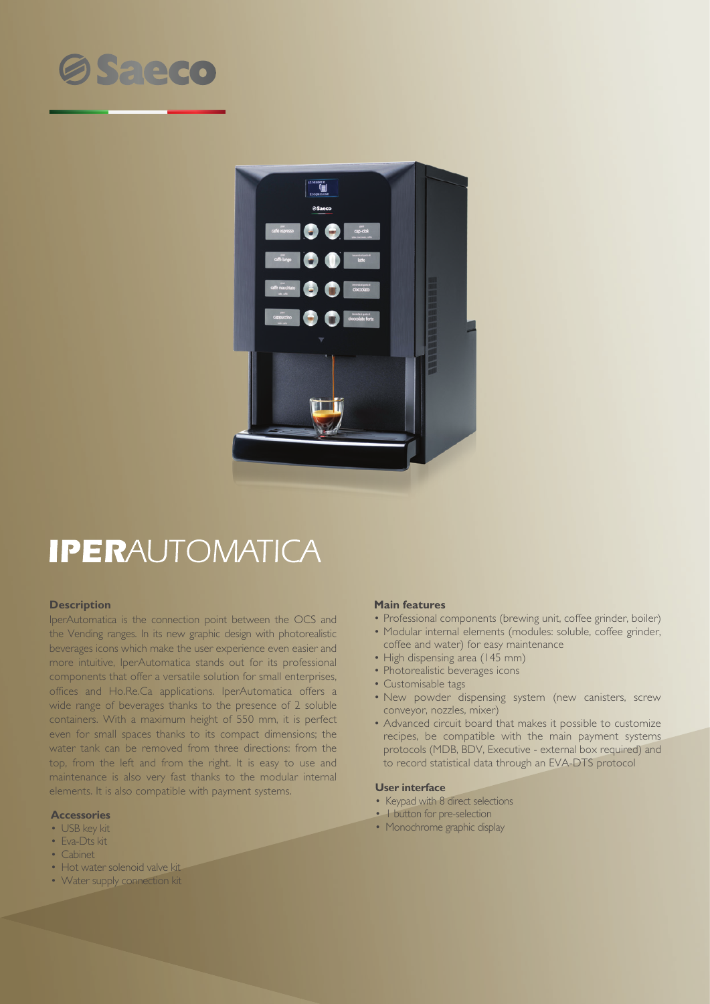



# **IPERAUTOMATICA**

### **Description**

IperAutomatica is the connection point between the OCS and the Vending ranges. In its new graphic design with photorealistic beverages icons which make the user experience even easier and more intuitive, IperAutomatica stands out for its professional components that offer a versatile solution for small enterprises, offices and Ho.Re.Ca applications. IperAutomatica offers a wide range of beverages thanks to the presence of 2 soluble containers. With a maximum height of 550 mm, it is perfect even for small spaces thanks to its compact dimensions; the water tank can be removed from three directions: from the top, from the left and from the right. It is easy to use and maintenance is also very fast thanks to the modular internal elements. It is also compatible with payment systems.

#### **Accessories**

- USB key kit
- Eva-Dts kit
- Cabinet
- Hot water solenoid valve kit
- Water supply connection kit

#### **Main features**

- Professional components (brewing unit, coffee grinder, boiler)
- Modular internal elements (modules: soluble, coffee grinder, coffee and water) for easy maintenance
- High dispensing area (145 mm)
- Photorealistic beverages icons
- Customisable tags
- New powder dispensing system (new canisters, screw conveyor, nozzles, mixer)
- Advanced circuit board that makes it possible to customize recipes, be compatible with the main payment systems protocols (MDB, BDV, Executive - external box required) and to record statistical data through an EVA-DTS protocol

#### **User interface**

- Keypad with 8 direct selections
- 1 button for pre-selection
- Monochrome graphic display